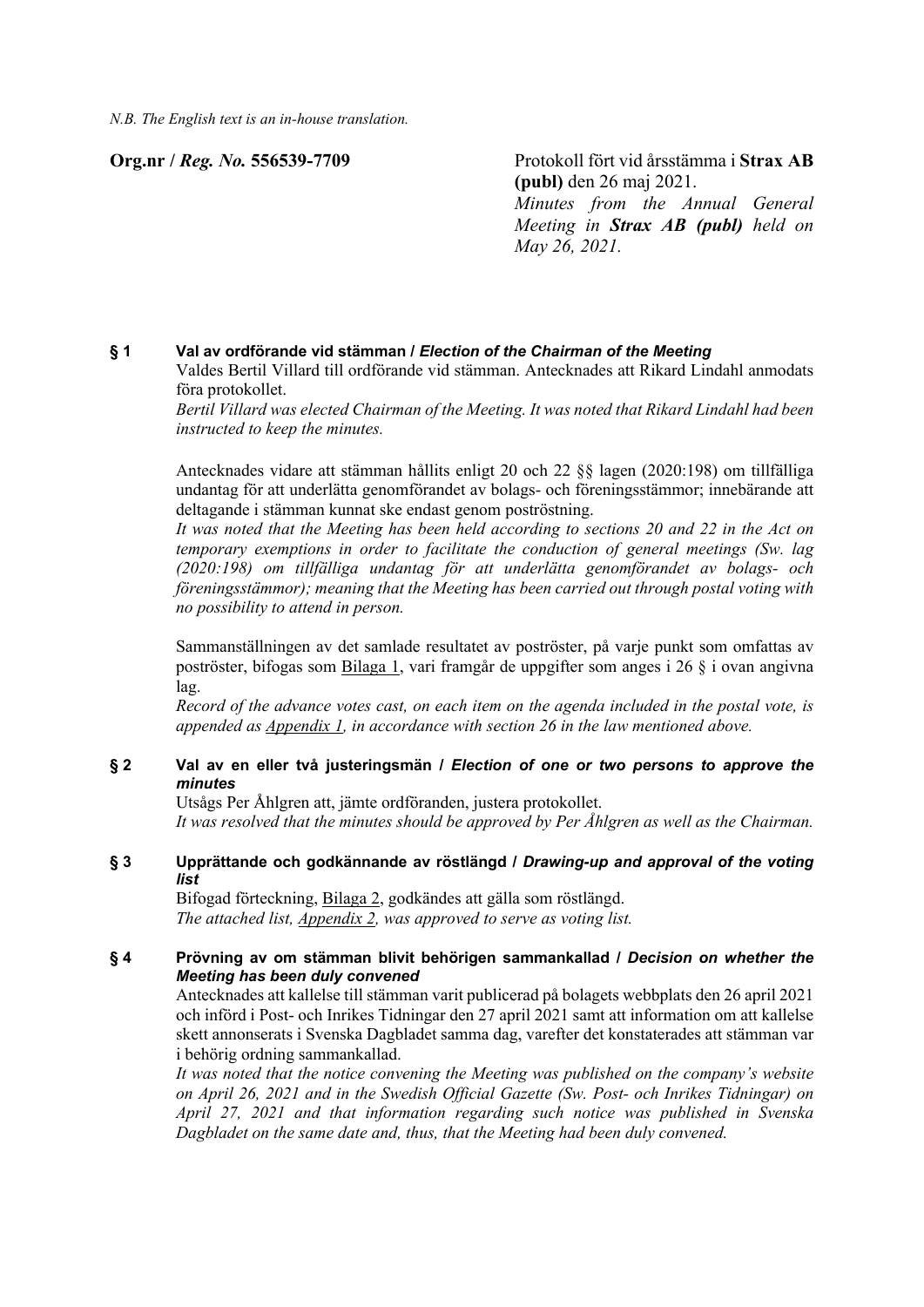*N.B. The English text is an in-house translation.*

**Org.nr /** *Reg. No.* **556539-7709** Protokoll fört vid årsstämma i **Strax AB (publ)** den 26 maj 2021. *Minutes from the Annual General Meeting in Strax AB (publ) held on May 26, 2021.*

# **§ 1 Val av ordförande vid stämman /** *Election of the Chairman of the Meeting*

Valdes Bertil Villard till ordförande vid stämman. Antecknades att Rikard Lindahl anmodats föra protokollet.

*Bertil Villard was elected Chairman of the Meeting. It was noted that Rikard Lindahl had been instructed to keep the minutes.*

Antecknades vidare att stämman hållits enligt 20 och 22 §§ lagen (2020:198) om tillfälliga undantag för att underlätta genomförandet av bolags- och föreningsstämmor; innebärande att deltagande i stämman kunnat ske endast genom poströstning.

*It was noted that the Meeting has been held according to sections 20 and 22 in the Act on temporary exemptions in order to facilitate the conduction of general meetings (Sw. lag (2020:198) om tillfälliga undantag för att underlätta genomförandet av bolags- och föreningsstämmor); meaning that the Meeting has been carried out through postal voting with no possibility to attend in person.*

Sammanställningen av det samlade resultatet av poströster, på varje punkt som omfattas av poströster, bifogas som Bilaga 1, vari framgår de uppgifter som anges i 26 § i ovan angivna lag.

*Record of the advance votes cast, on each item on the agenda included in the postal vote, is appended as Appendix 1, in accordance with section 26 in the law mentioned above.*

# **§ 2 Val av en eller två justeringsmän /** *Election of one or two persons to approve the minutes*

Utsågs Per Åhlgren att, jämte ordföranden, justera protokollet. *It was resolved that the minutes should be approved by Per Åhlgren as well as the Chairman.*

#### **§ 3 Upprättande och godkännande av röstlängd /** *Drawing-up and approval of the voting list*

Bifogad förteckning, Bilaga 2, godkändes att gälla som röstlängd. *The attached list, Appendix 2, was approved to serve as voting list.*

# **§ 4 Prövning av om stämman blivit behörigen sammankallad /** *Decision on whether the Meeting has been duly convened*

Antecknades att kallelse till stämman varit publicerad på bolagets webbplats den 26 april 2021 och införd i Post- och Inrikes Tidningar den 27 april 2021 samt att information om att kallelse skett annonserats i Svenska Dagbladet samma dag, varefter det konstaterades att stämman var i behörig ordning sammankallad.

*It was noted that the notice convening the Meeting was published on the company's website on April 26, 2021 and in the Swedish Official Gazette (Sw. Post- och Inrikes Tidningar) on April 27, 2021 and that information regarding such notice was published in Svenska Dagbladet on the same date and, thus, that the Meeting had been duly convened.*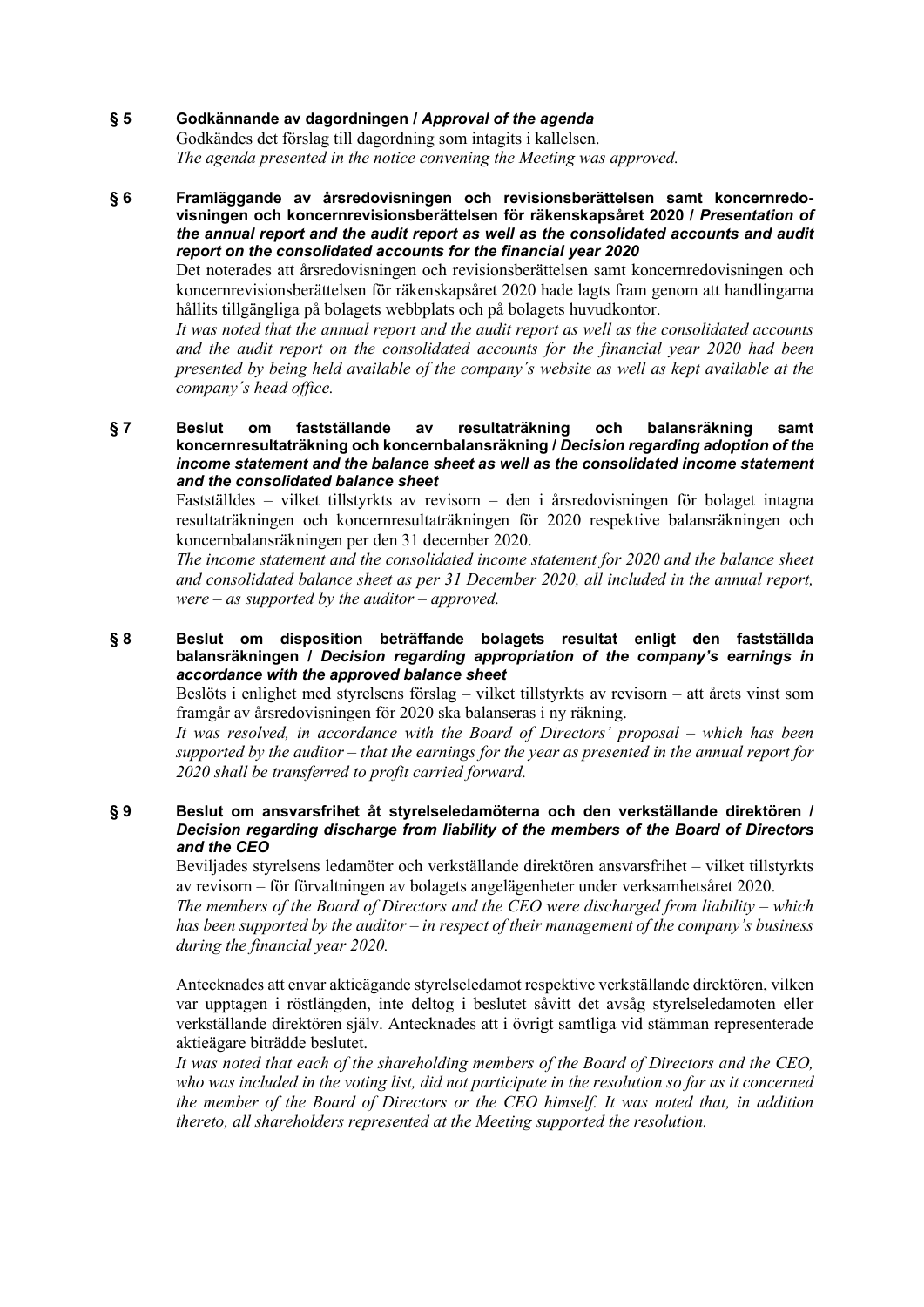# **§ 5 Godkännande av dagordningen /** *Approval of the agenda*

Godkändes det förslag till dagordning som intagits i kallelsen. *The agenda presented in the notice convening the Meeting was approved.*

#### **§ 6 Framläggande av årsredovisningen och revisionsberättelsen samt koncernredovisningen och koncernrevisionsberättelsen för räkenskapsåret 2020 /** *Presentation of the annual report and the audit report as well as the consolidated accounts and audit report on the consolidated accounts for the financial year 2020*

Det noterades att årsredovisningen och revisionsberättelsen samt koncernredovisningen och koncernrevisionsberättelsen för räkenskapsåret 2020 hade lagts fram genom att handlingarna hållits tillgängliga på bolagets webbplats och på bolagets huvudkontor.

*It was noted that the annual report and the audit report as well as the consolidated accounts and the audit report on the consolidated accounts for the financial year 2020 had been presented by being held available of the company´s website as well as kept available at the company´s head office.*

#### **§ 7 Beslut om fastställande av resultaträkning och balansräkning samt koncernresultaträkning och koncernbalansräkning /** *Decision regarding adoption of the income statement and the balance sheet as well as the consolidated income statement and the consolidated balance sheet*

Fastställdes – vilket tillstyrkts av revisorn – den i årsredovisningen för bolaget intagna resultaträkningen och koncernresultaträkningen för 2020 respektive balansräkningen och koncernbalansräkningen per den 31 december 2020.

*The income statement and the consolidated income statement for 2020 and the balance sheet and consolidated balance sheet as per 31 December 2020, all included in the annual report, were – as supported by the auditor – approved.*

# **§ 8 Beslut om disposition beträffande bolagets resultat enligt den fastställda balansräkningen /** *Decision regarding appropriation of the company's earnings in accordance with the approved balance sheet*

Beslöts i enlighet med styrelsens förslag – vilket tillstyrkts av revisorn – att årets vinst som framgår av årsredovisningen för 2020 ska balanseras i ny räkning.

*It was resolved, in accordance with the Board of Directors' proposal – which has been supported by the auditor – that the earnings for the year as presented in the annual report for 2020 shall be transferred to profit carried forward.*

#### **§ 9 Beslut om ansvarsfrihet åt styrelseledamöterna och den verkställande direktören /** *Decision regarding discharge from liability of the members of the Board of Directors and the CEO*

Beviljades styrelsens ledamöter och verkställande direktören ansvarsfrihet – vilket tillstyrkts av revisorn – för förvaltningen av bolagets angelägenheter under verksamhetsåret 2020.

*The members of the Board of Directors and the CEO were discharged from liability – which has been supported by the auditor – in respect of their management of the company's business during the financial year 2020.*

Antecknades att envar aktieägande styrelseledamot respektive verkställande direktören, vilken var upptagen i röstlängden, inte deltog i beslutet såvitt det avsåg styrelseledamoten eller verkställande direktören själv. Antecknades att i övrigt samtliga vid stämman representerade aktieägare biträdde beslutet.

*It was noted that each of the shareholding members of the Board of Directors and the CEO, who was included in the voting list, did not participate in the resolution so far as it concerned the member of the Board of Directors or the CEO himself. It was noted that, in addition thereto, all shareholders represented at the Meeting supported the resolution.*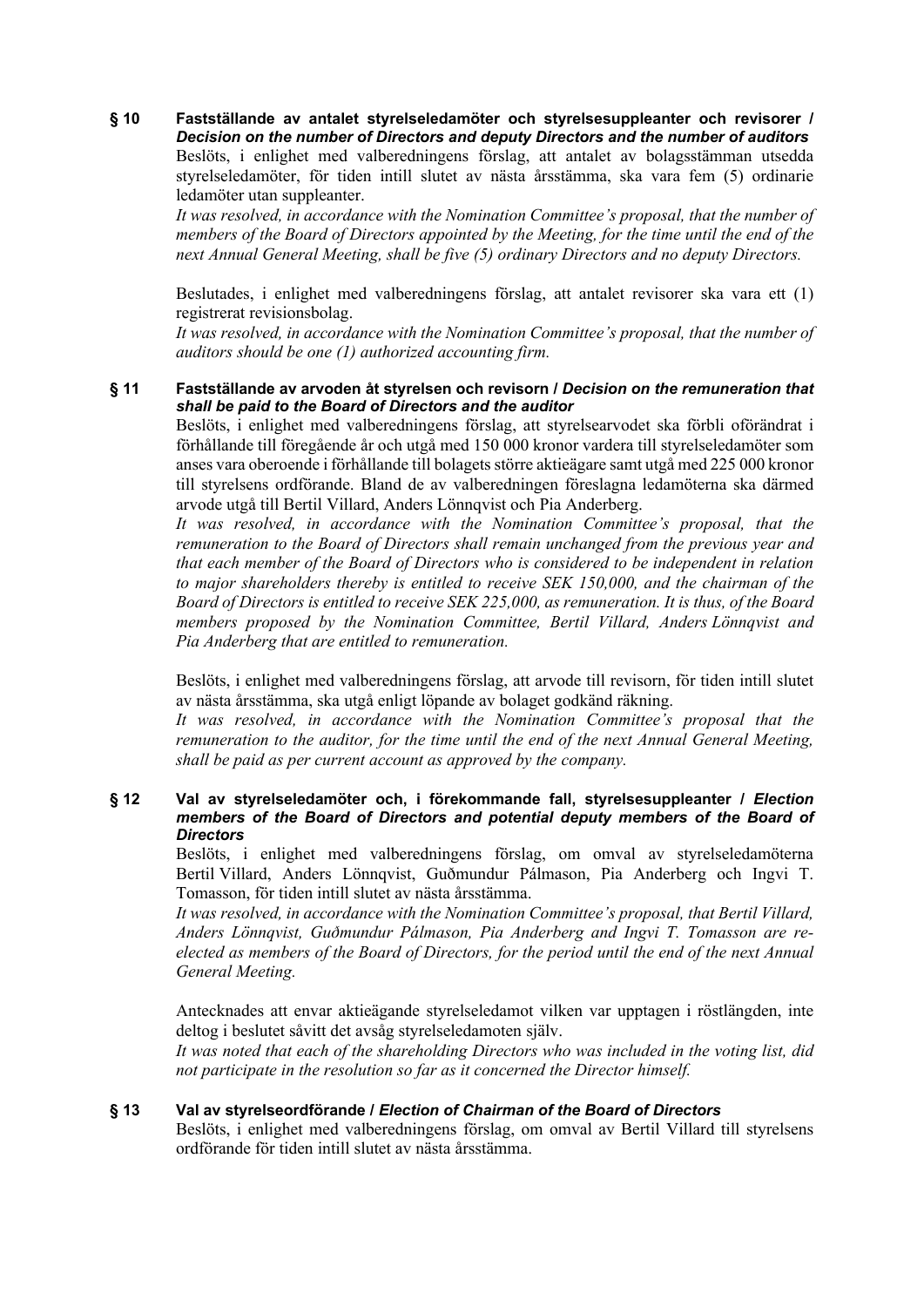**§ 10 Fastställande av antalet styrelseledamöter och styrelsesuppleanter och revisorer /** *Decision on the number of Directors and deputy Directors and the number of auditors* Beslöts, i enlighet med valberedningens förslag, att antalet av bolagsstämman utsedda styrelseledamöter, för tiden intill slutet av nästa årsstämma, ska vara fem (5) ordinarie ledamöter utan suppleanter.

*It was resolved, in accordance with the Nomination Committee's proposal, that the number of members of the Board of Directors appointed by the Meeting, for the time until the end of the next Annual General Meeting, shall be five (5) ordinary Directors and no deputy Directors.*

Beslutades, i enlighet med valberedningens förslag, att antalet revisorer ska vara ett (1) registrerat revisionsbolag.

*It was resolved, in accordance with the Nomination Committee's proposal, that the number of auditors should be one (1) authorized accounting firm.*

#### **§ 11 Fastställande av arvoden åt styrelsen och revisorn /** *Decision on the remuneration that shall be paid to the Board of Directors and the auditor*

Beslöts, i enlighet med valberedningens förslag, att styrelsearvodet ska förbli oförändrat i förhållande till föregående år och utgå med 150 000 kronor vardera till styrelseledamöter som anses vara oberoende i förhållande till bolagets större aktieägare samt utgå med 225 000 kronor till styrelsens ordförande. Bland de av valberedningen föreslagna ledamöterna ska därmed arvode utgå till Bertil Villard, Anders Lönnqvist och Pia Anderberg.

*It was resolved, in accordance with the Nomination Committee's proposal, that the remuneration to the Board of Directors shall remain unchanged from the previous year and that each member of the Board of Directors who is considered to be independent in relation to major shareholders thereby is entitled to receive SEK 150,000, and the chairman of the Board of Directors is entitled to receive SEK 225,000, as remuneration. It is thus, of the Board members proposed by the Nomination Committee, Bertil Villard, Anders Lönnqvist and Pia Anderberg that are entitled to remuneration.*

Beslöts, i enlighet med valberedningens förslag, att arvode till revisorn, för tiden intill slutet av nästa årsstämma, ska utgå enligt löpande av bolaget godkänd räkning.

*It was resolved, in accordance with the Nomination Committee's proposal that the remuneration to the auditor, for the time until the end of the next Annual General Meeting, shall be paid as per current account as approved by the company.*

# **§ 12 Val av styrelseledamöter och, i förekommande fall, styrelsesuppleanter /** *Election members of the Board of Directors and potential deputy members of the Board of Directors*

Beslöts, i enlighet med valberedningens förslag, om omval av styrelseledamöterna Bertil Villard, Anders Lönnqvist, Guðmundur Pálmason, Pia Anderberg och Ingvi T. Tomasson, för tiden intill slutet av nästa årsstämma.

*It was resolved, in accordance with the Nomination Committee's proposal, that Bertil Villard, Anders Lönnqvist, Guðmundur Pálmason, Pia Anderberg and Ingvi T. Tomasson are reelected as members of the Board of Directors, for the period until the end of the next Annual General Meeting.*

Antecknades att envar aktieägande styrelseledamot vilken var upptagen i röstlängden, inte deltog i beslutet såvitt det avsåg styrelseledamoten själv.

*It was noted that each of the shareholding Directors who was included in the voting list, did not participate in the resolution so far as it concerned the Director himself.*

# **§ 13 Val av styrelseordförande /** *Election of Chairman of the Board of Directors*

Beslöts, i enlighet med valberedningens förslag, om omval av Bertil Villard till styrelsens ordförande för tiden intill slutet av nästa årsstämma.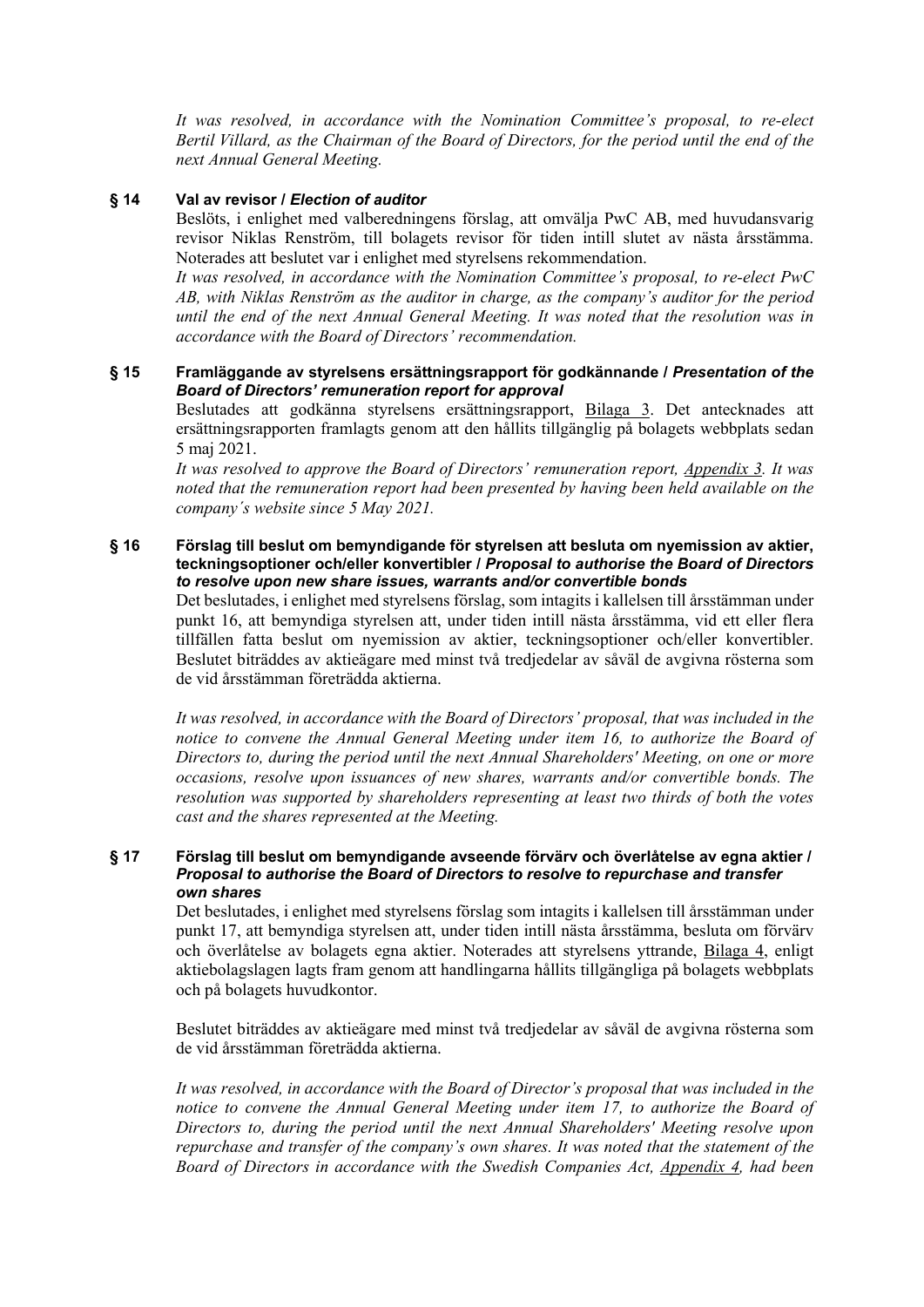*It was resolved, in accordance with the Nomination Committee's proposal, to re-elect Bertil Villard, as the Chairman of the Board of Directors, for the period until the end of the next Annual General Meeting.*

# **§ 14 Val av revisor /** *Election of auditor*

Beslöts, i enlighet med valberedningens förslag, att omvälja PwC AB, med huvudansvarig revisor Niklas Renström, till bolagets revisor för tiden intill slutet av nästa årsstämma. Noterades att beslutet var i enlighet med styrelsens rekommendation.

*It was resolved, in accordance with the Nomination Committee's proposal, to re-elect PwC AB, with Niklas Renström as the auditor in charge, as the company's auditor for the period until the end of the next Annual General Meeting. It was noted that the resolution was in accordance with the Board of Directors' recommendation.*

#### **§ 15 Framläggande av styrelsens ersättningsrapport för godkännande /** *Presentation of the Board of Directors' remuneration report for approval*

Beslutades att godkänna styrelsens ersättningsrapport, Bilaga 3. Det antecknades att ersättningsrapporten framlagts genom att den hållits tillgänglig på bolagets webbplats sedan 5 maj 2021.

*It was resolved to approve the Board of Directors' remuneration report, Appendix 3. It was noted that the remuneration report had been presented by having been held available on the company´s website since 5 May 2021.*

#### **§ 16 Förslag till beslut om bemyndigande för styrelsen att besluta om nyemission av aktier, teckningsoptioner och/eller konvertibler /** *Proposal to authorise the Board of Directors to resolve upon new share issues, warrants and/or convertible bonds*

Det beslutades, i enlighet med styrelsens förslag, som intagits i kallelsen till årsstämman under punkt 16, att bemyndiga styrelsen att, under tiden intill nästa årsstämma, vid ett eller flera tillfällen fatta beslut om nyemission av aktier, teckningsoptioner och/eller konvertibler. Beslutet biträddes av aktieägare med minst två tredjedelar av såväl de avgivna rösterna som de vid årsstämman företrädda aktierna.

*It was resolved, in accordance with the Board of Directors' proposal, that was included in the notice to convene the Annual General Meeting under item 16, to authorize the Board of Directors to, during the period until the next Annual Shareholders' Meeting, on one or more occasions, resolve upon issuances of new shares, warrants and/or convertible bonds. The resolution was supported by shareholders representing at least two thirds of both the votes cast and the shares represented at the Meeting.*

#### **§ 17 Förslag till beslut om bemyndigande avseende förvärv och överlåtelse av egna aktier /** *Proposal to authorise the Board of Directors to resolve to repurchase and transfer own shares*

Det beslutades, i enlighet med styrelsens förslag som intagits i kallelsen till årsstämman under punkt 17, att bemyndiga styrelsen att, under tiden intill nästa årsstämma, besluta om förvärv och överlåtelse av bolagets egna aktier. Noterades att styrelsens yttrande, Bilaga 4, enligt aktiebolagslagen lagts fram genom att handlingarna hållits tillgängliga på bolagets webbplats och på bolagets huvudkontor.

Beslutet biträddes av aktieägare med minst två tredjedelar av såväl de avgivna rösterna som de vid årsstämman företrädda aktierna.

*It was resolved, in accordance with the Board of Director's proposal that was included in the notice to convene the Annual General Meeting under item 17, to authorize the Board of Directors to, during the period until the next Annual Shareholders' Meeting resolve upon repurchase and transfer of the company's own shares. It was noted that the statement of the Board of Directors in accordance with the Swedish Companies Act, Appendix 4, had been*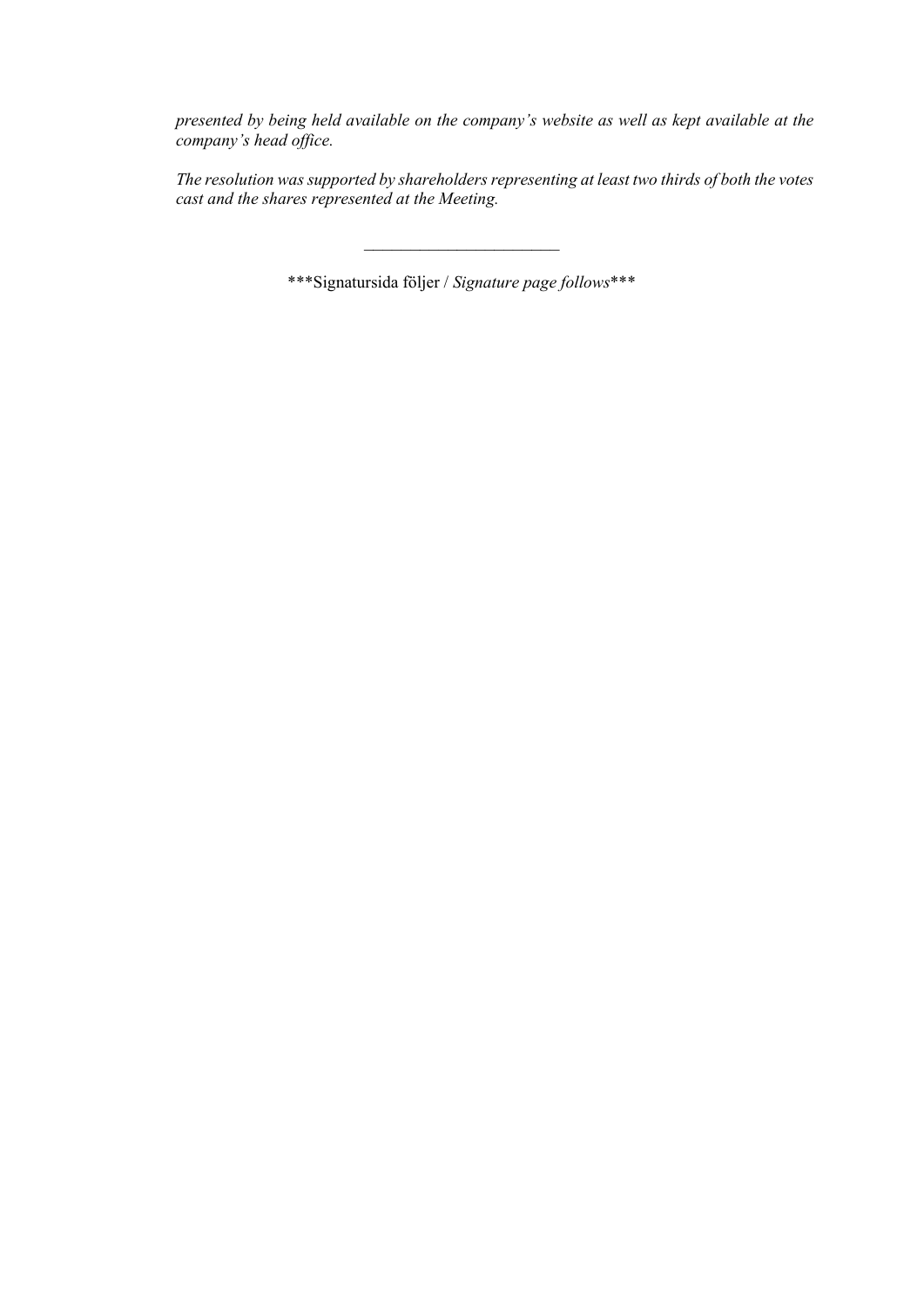*presented by being held available on the company's website as well as kept available at the company's head office.*

*The resolution was supported by shareholders representing at least two thirds of both the votes cast and the shares represented at the Meeting.*

\*\*\*Signatursida följer / *Signature page follows*\*\*\*

 $\mathcal{L}=\mathcal{L}^{\mathcal{L}}$  , where  $\mathcal{L}^{\mathcal{L}}$  , we have the set of the set of the set of the set of the set of the set of the set of the set of the set of the set of the set of the set of the set of the set of the set of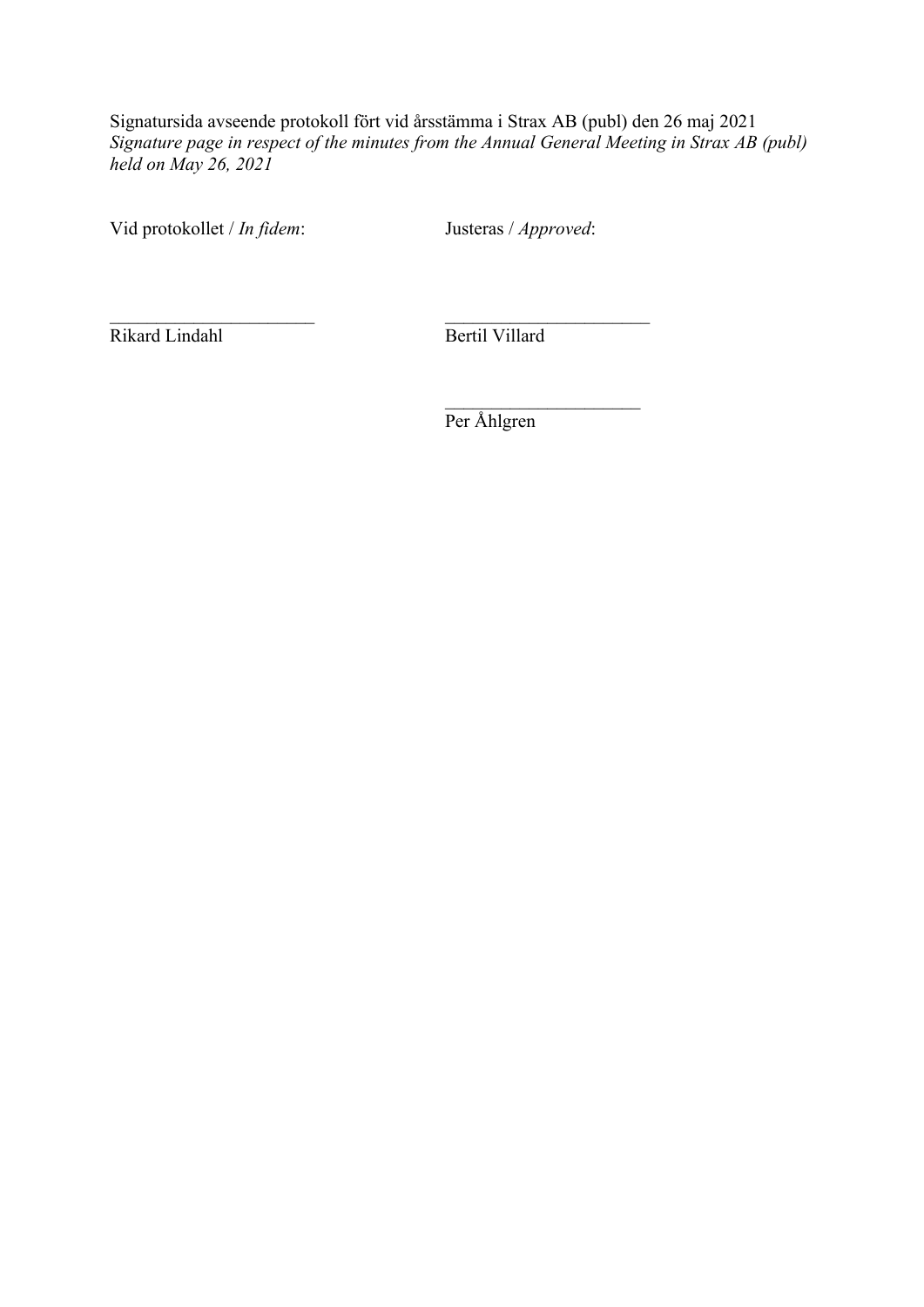Signatursida avseende protokoll fört vid årsstämma i Strax AB (publ) den 26 maj 2021 *Signature page in respect of the minutes from the Annual General Meeting in Strax AB (publ) held on May 26, 2021*

Vid protokollet / *In fidem*: Justeras / *Approved*:

Rikard Lindahl Bertil Villard

Per Åhlgren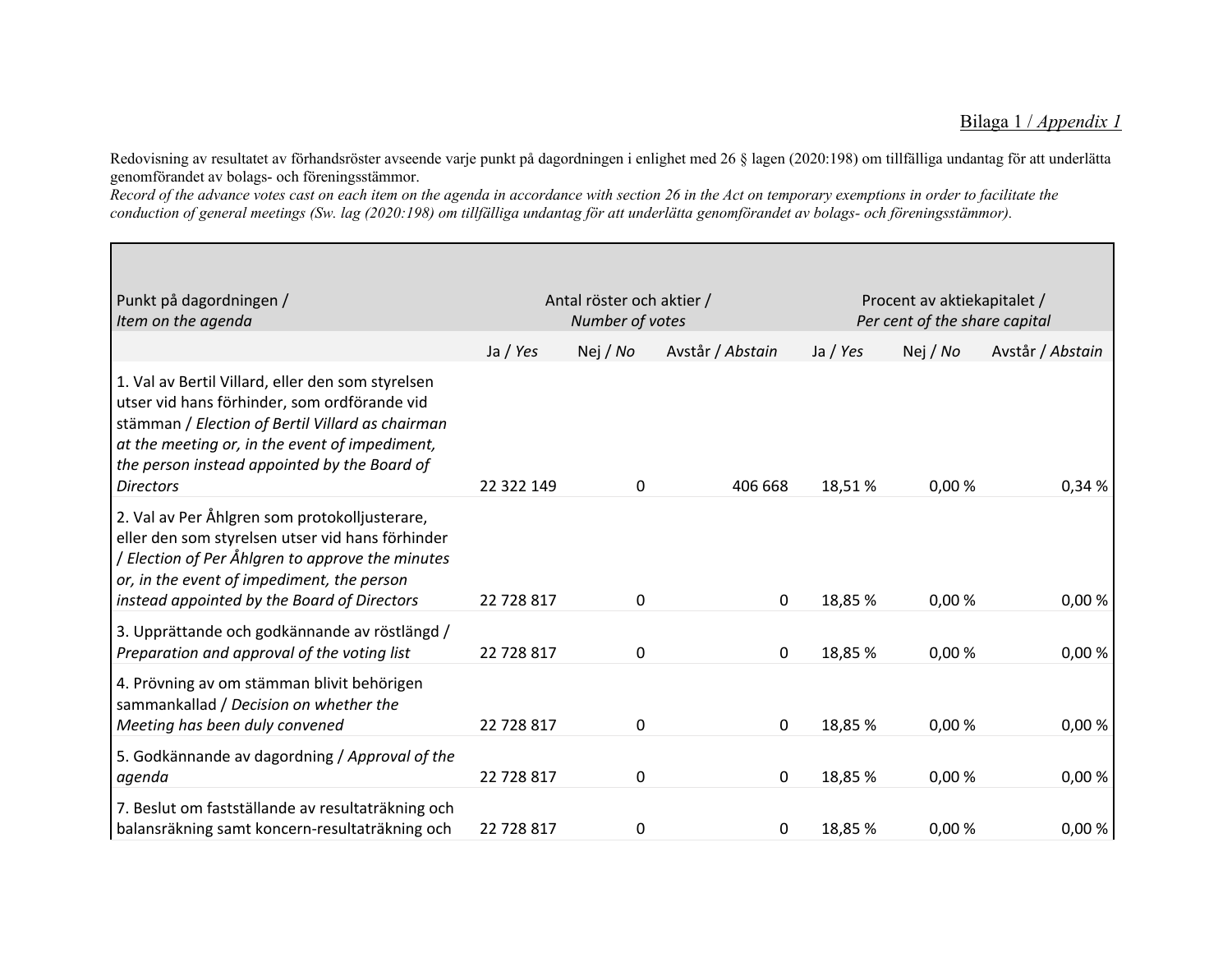Redovisning av resultatet av förhandsröster avseende varje punkt på dagordningen i enlighet med 26 § lagen (2020:198) om tillfälliga undantag för att underlätta genomförandet av bolags- och föreningsstämmor.

Record of the advance votes cast on each item on the agenda in accordance with section 26 in the Act on temporary exemptions in order to facilitate the conduction of general meetings (Sw. lag (2020:198) om tillfälliga undantag för att underlätta genomförandet av bolags- och föreningsstämmor).

| Punkt på dagordningen /<br>Item on the agenda                                                                                                                                                                                                                               | Antal röster och aktier /<br>Number of votes |              |                  | Procent av aktiekapitalet /<br>Per cent of the share capital |          |                  |
|-----------------------------------------------------------------------------------------------------------------------------------------------------------------------------------------------------------------------------------------------------------------------------|----------------------------------------------|--------------|------------------|--------------------------------------------------------------|----------|------------------|
|                                                                                                                                                                                                                                                                             | Ja / Yes                                     | Nej / No     | Avstår / Abstain | Ja / Yes                                                     | Nej / No | Avstår / Abstain |
| 1. Val av Bertil Villard, eller den som styrelsen<br>utser vid hans förhinder, som ordförande vid<br>stämman / Election of Bertil Villard as chairman<br>at the meeting or, in the event of impediment,<br>the person instead appointed by the Board of<br><b>Directors</b> | 22 322 149                                   | $\mathbf 0$  | 406 668          | 18,51%                                                       | 0,00%    | 0,34%            |
| 2. Val av Per Åhlgren som protokolljusterare,                                                                                                                                                                                                                               |                                              |              |                  |                                                              |          |                  |
| eller den som styrelsen utser vid hans förhinder<br>/ Election of Per Åhlgren to approve the minutes<br>or, in the event of impediment, the person<br>instead appointed by the Board of Directors                                                                           | 22 728 817                                   | $\mathbf{0}$ | 0                | 18,85 %                                                      | 0,00%    | 0,00%            |
| 3. Upprättande och godkännande av röstlängd /<br>Preparation and approval of the voting list                                                                                                                                                                                | 22 728 817                                   | 0            | 0                | 18,85 %                                                      | 0,00%    | 0,00%            |
| 4. Prövning av om stämman blivit behörigen<br>sammankallad / Decision on whether the<br>Meeting has been duly convened                                                                                                                                                      | 22 728 817                                   | $\mathbf 0$  | 0                | 18,85 %                                                      | 0,00 %   | 0,00%            |
| 5. Godkännande av dagordning / Approval of the                                                                                                                                                                                                                              |                                              |              |                  |                                                              |          |                  |
| agenda                                                                                                                                                                                                                                                                      | 22 728 817                                   | 0            | 0                | 18,85 %                                                      | 0,00%    | 0,00%            |
| 7. Beslut om fastställande av resultaträkning och<br>balansräkning samt koncern-resultaträkning och                                                                                                                                                                         | 22 728 817                                   | 0            | 0                | 18,85 %                                                      | 0,00%    | 0,00%            |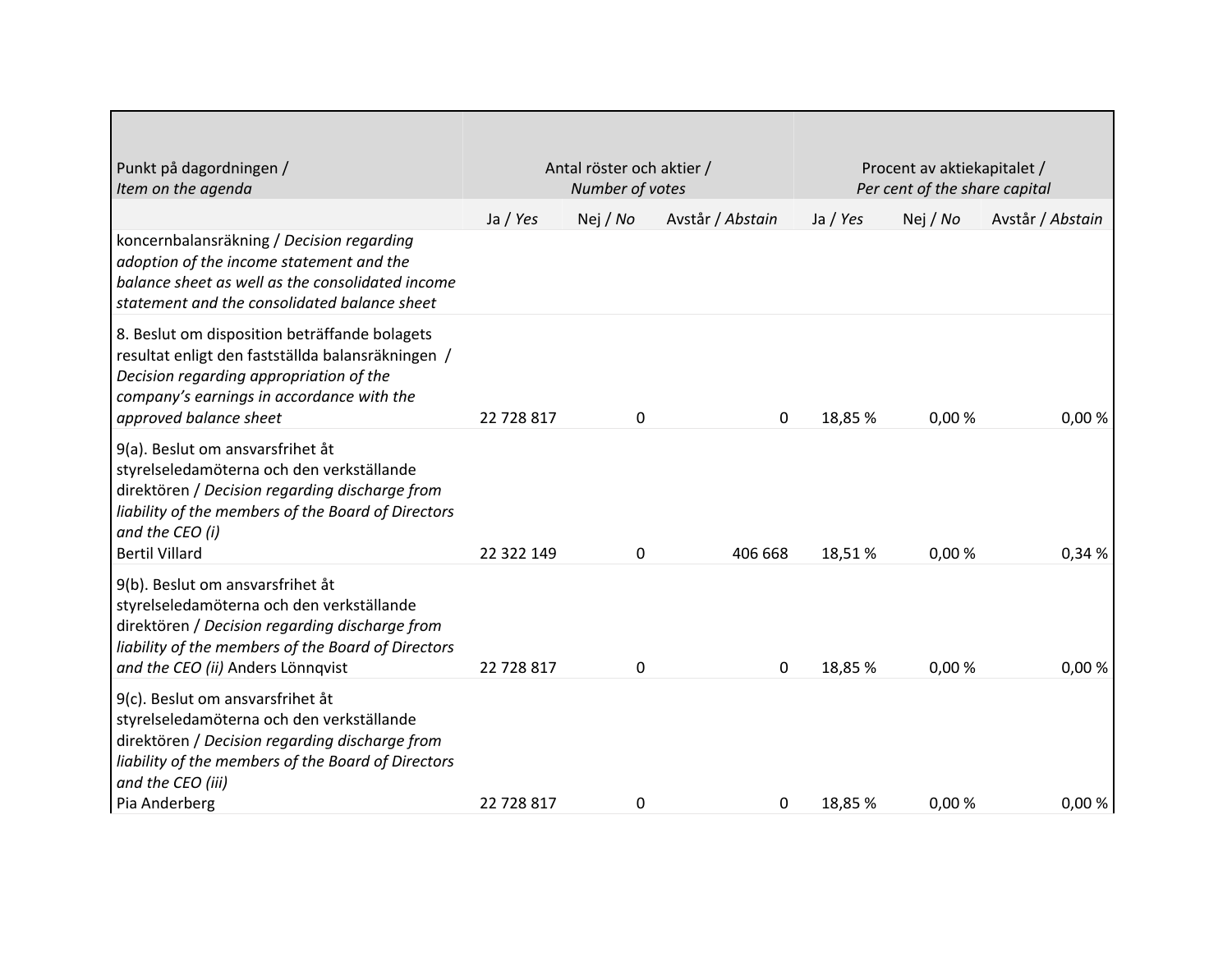| Punkt på dagordningen /<br>Item on the agenda                                                                                                                                                                                     | Antal röster och aktier /<br>Number of votes |          |                  | Procent av aktiekapitalet /<br>Per cent of the share capital |          |                  |
|-----------------------------------------------------------------------------------------------------------------------------------------------------------------------------------------------------------------------------------|----------------------------------------------|----------|------------------|--------------------------------------------------------------|----------|------------------|
|                                                                                                                                                                                                                                   | Ja / Yes                                     | Nej / No | Avstår / Abstain | Ja / Yes                                                     | Nej / No | Avstår / Abstain |
| koncernbalansräkning / Decision regarding<br>adoption of the income statement and the<br>balance sheet as well as the consolidated income<br>statement and the consolidated balance sheet                                         |                                              |          |                  |                                                              |          |                  |
| 8. Beslut om disposition beträffande bolagets<br>resultat enligt den fastställda balansräkningen /<br>Decision regarding appropriation of the<br>company's earnings in accordance with the<br>approved balance sheet              | 22 728 817                                   | 0        | 0                | 18,85 %                                                      | 0,00%    | 0,00%            |
| 9(a). Beslut om ansvarsfrihet åt<br>styrelseledamöterna och den verkställande<br>direktören / Decision regarding discharge from<br>liability of the members of the Board of Directors<br>and the CEO (i)<br><b>Bertil Villard</b> | 22 322 149                                   | 0        | 406 668          | 18,51%                                                       | 0,00%    | 0,34 %           |
| 9(b). Beslut om ansvarsfrihet åt<br>styrelseledamöterna och den verkställande<br>direktören / Decision regarding discharge from<br>liability of the members of the Board of Directors<br>and the CEO (ii) Anders Lönnqvist        | 22 728 817                                   | 0        | 0                | 18,85 %                                                      | 0,00%    | 0,00%            |
| 9(c). Beslut om ansvarsfrihet åt<br>styrelseledamöterna och den verkställande<br>direktören / Decision regarding discharge from<br>liability of the members of the Board of Directors<br>and the CEO (iii)                        | 22 728 817                                   |          |                  | 18,85 %                                                      | 0,00%    | 0,00%            |
| Pia Anderberg                                                                                                                                                                                                                     |                                              | 0        | 0                |                                                              |          |                  |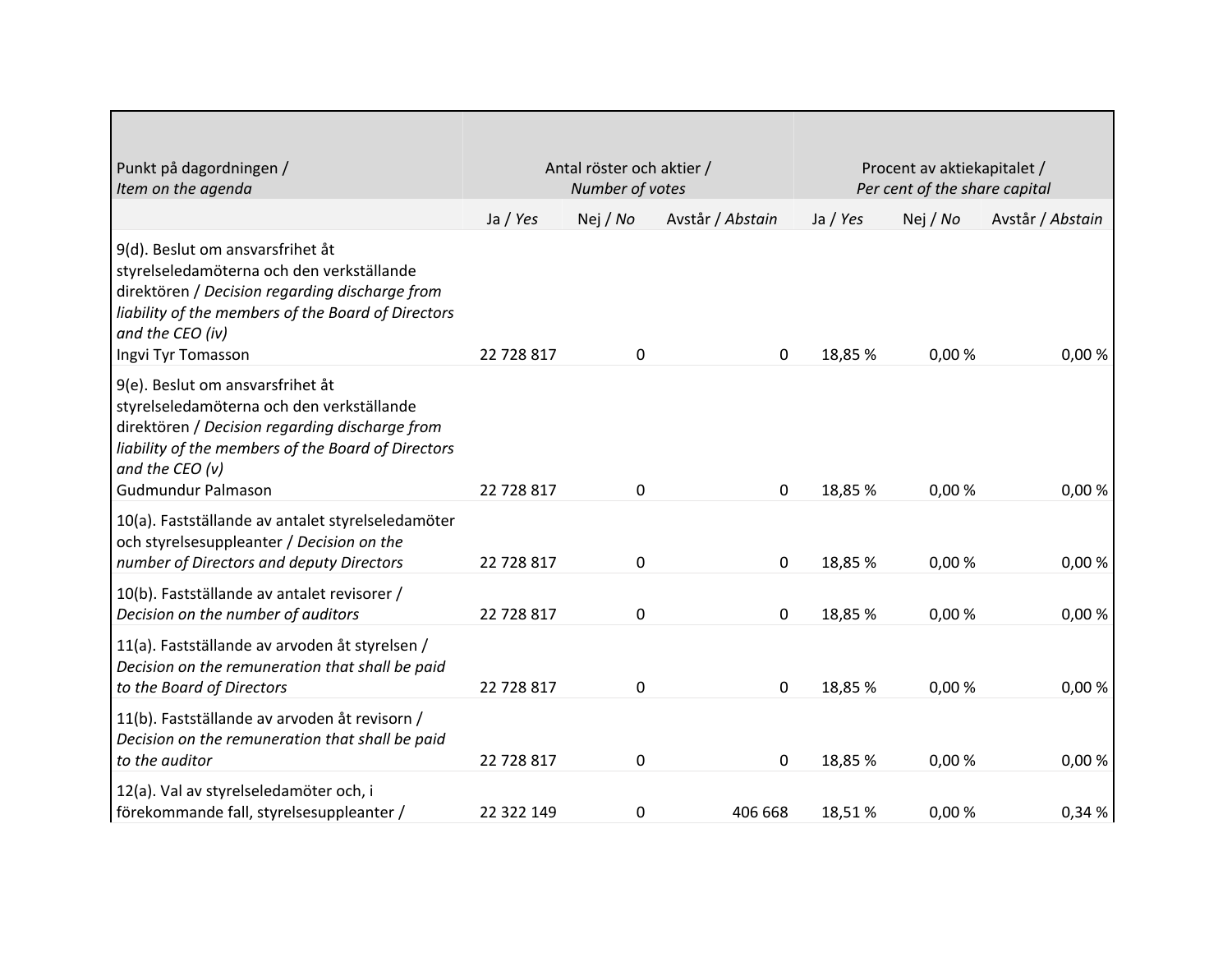| Punkt på dagordningen /<br>Item on the agenda                                                                                                                                                                                   | Antal röster och aktier /<br>Number of votes |          |                  | Procent av aktiekapitalet /<br>Per cent of the share capital |          |                  |
|---------------------------------------------------------------------------------------------------------------------------------------------------------------------------------------------------------------------------------|----------------------------------------------|----------|------------------|--------------------------------------------------------------|----------|------------------|
|                                                                                                                                                                                                                                 | Ja / Yes                                     | Nej / No | Avstår / Abstain | Ja / Yes                                                     | Nej / No | Avstår / Abstain |
| 9(d). Beslut om ansvarsfrihet åt<br>styrelseledamöterna och den verkställande<br>direktören / Decision regarding discharge from<br>liability of the members of the Board of Directors<br>and the CEO (iv)<br>Ingvi Tyr Tomasson | 22 728 817                                   | 0        | 0                | 18,85 %                                                      | 0,00%    | 0,00%            |
| 9(e). Beslut om ansvarsfrihet åt<br>styrelseledamöterna och den verkställande<br>direktören / Decision regarding discharge from<br>liability of the members of the Board of Directors<br>and the CEO (v)<br>Gudmundur Palmason  | 22 728 817                                   | 0        | 0                | 18,85 %                                                      | 0,00%    | 0,00%            |
| 10(a). Fastställande av antalet styrelseledamöter<br>och styrelsesuppleanter / Decision on the<br>number of Directors and deputy Directors                                                                                      | 22 728 817                                   | 0        | 0                | 18,85 %                                                      | 0,00%    | 0,00%            |
| 10(b). Fastställande av antalet revisorer /<br>Decision on the number of auditors                                                                                                                                               | 22 728 817                                   | 0        | 0                | 18,85 %                                                      | 0,00%    | 0,00%            |
| 11(a). Fastställande av arvoden åt styrelsen /<br>Decision on the remuneration that shall be paid<br>to the Board of Directors                                                                                                  | 22 728 817                                   | 0        | 0                | 18,85 %                                                      | 0,00%    | 0,00%            |
| 11(b). Fastställande av arvoden åt revisorn /<br>Decision on the remuneration that shall be paid<br>to the auditor                                                                                                              | 22 728 817                                   | 0        | 0                | 18,85 %                                                      | 0,00%    | 0,00%            |
| 12(a). Val av styrelseledamöter och, i<br>  förekommande fall, styrelsesuppleanter /                                                                                                                                            | 22 322 149                                   | 0        | 406 668          | 18,51%                                                       | 0,00%    | 0,34 %           |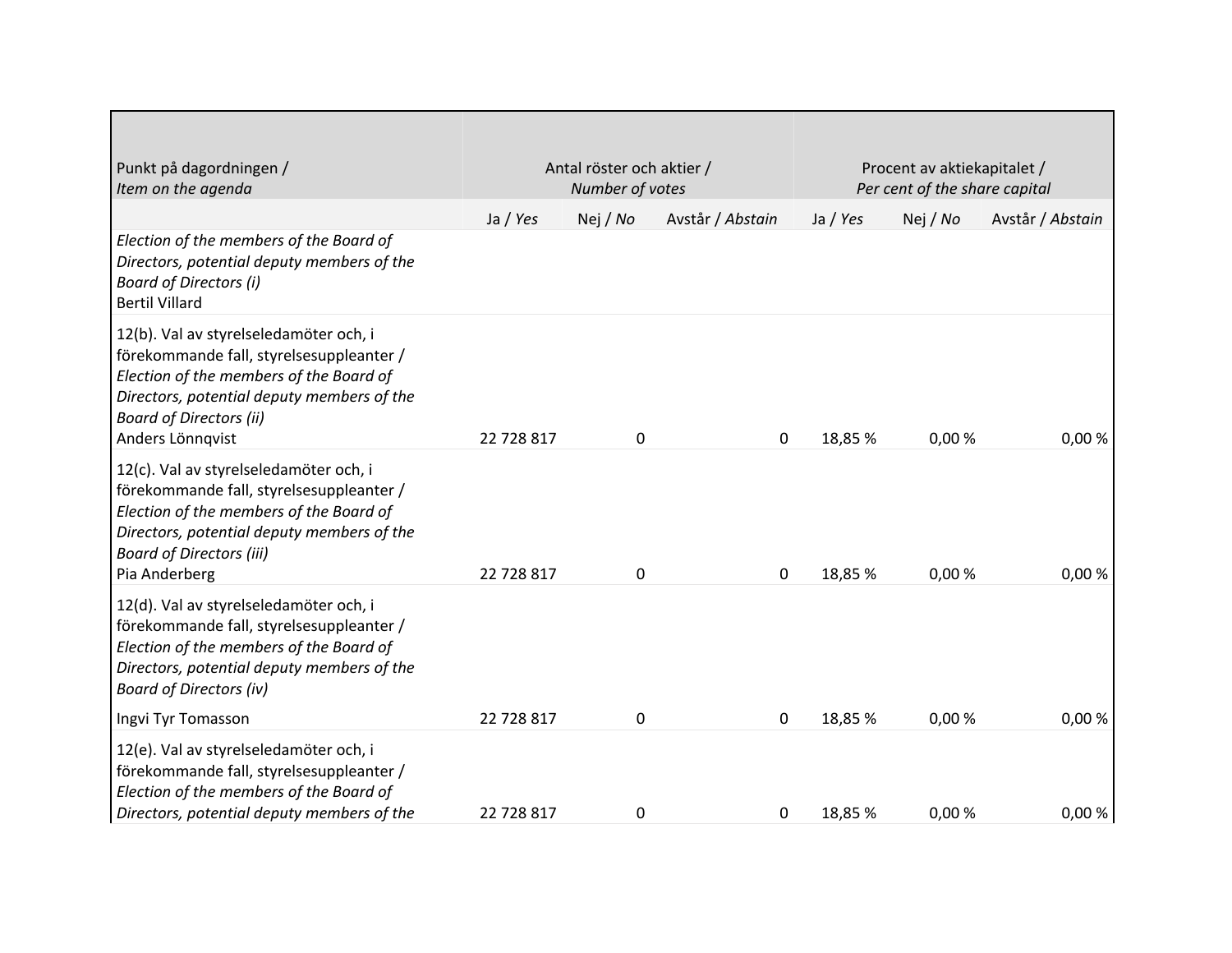| Punkt på dagordningen /<br>Item on the agenda                                                                                                                                                                                     | Antal röster och aktier /<br>Number of votes |          |                  | Procent av aktiekapitalet /<br>Per cent of the share capital |          |                  |
|-----------------------------------------------------------------------------------------------------------------------------------------------------------------------------------------------------------------------------------|----------------------------------------------|----------|------------------|--------------------------------------------------------------|----------|------------------|
|                                                                                                                                                                                                                                   | Ja / Yes                                     | Nej / No | Avstår / Abstain | Ja / Yes                                                     | Nej / No | Avstår / Abstain |
| Election of the members of the Board of<br>Directors, potential deputy members of the<br><b>Board of Directors (i)</b><br><b>Bertil Villard</b>                                                                                   |                                              |          |                  |                                                              |          |                  |
| 12(b). Val av styrelseledamöter och, i<br>förekommande fall, styrelsesuppleanter /<br>Election of the members of the Board of<br>Directors, potential deputy members of the<br><b>Board of Directors (ii)</b><br>Anders Lönnqvist | 22 728 817                                   | 0        | 0                | 18,85 %                                                      | 0,00%    | 0,00%            |
| 12(c). Val av styrelseledamöter och, i<br>förekommande fall, styrelsesuppleanter /<br>Election of the members of the Board of<br>Directors, potential deputy members of the<br><b>Board of Directors (iii)</b><br>Pia Anderberg   | 22 728 817                                   | 0        | 0                | 18,85 %                                                      | 0,00 %   | 0,00%            |
| 12(d). Val av styrelseledamöter och, i<br>förekommande fall, styrelsesuppleanter /<br>Election of the members of the Board of<br>Directors, potential deputy members of the<br><b>Board of Directors (iv)</b>                     |                                              |          |                  |                                                              |          |                  |
| Ingvi Tyr Tomasson                                                                                                                                                                                                                | 22 728 817                                   | 0        | 0                | 18,85 %                                                      | 0,00%    | 0,00%            |
| 12(e). Val av styrelseledamöter och, i<br>förekommande fall, styrelsesuppleanter /<br>Election of the members of the Board of<br>Directors, potential deputy members of the                                                       | 22 728 817                                   | 0        | 0                | 18,85 %                                                      | 0,00 %   | 0,00%            |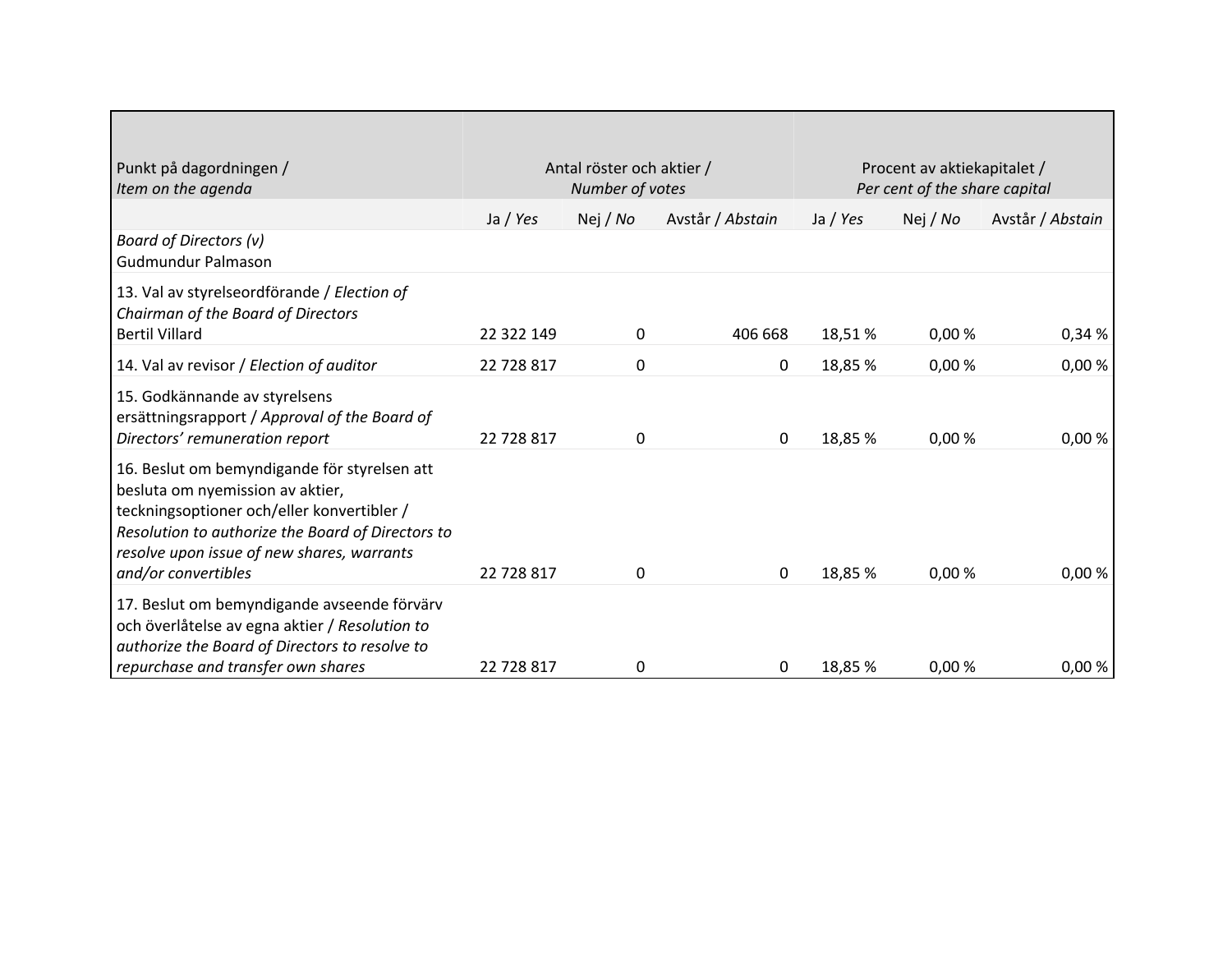| Punkt på dagordningen /<br>Item on the agenda                                                                                                                                                                                                            | Antal röster och aktier /<br>Number of votes |          |                  | Procent av aktiekapitalet /<br>Per cent of the share capital |          |                  |
|----------------------------------------------------------------------------------------------------------------------------------------------------------------------------------------------------------------------------------------------------------|----------------------------------------------|----------|------------------|--------------------------------------------------------------|----------|------------------|
|                                                                                                                                                                                                                                                          | Ja / Yes                                     | Nej / No | Avstår / Abstain | Ja / $Yes$                                                   | Nej / No | Avstår / Abstain |
| <b>Board of Directors (v)</b><br><b>Gudmundur Palmason</b>                                                                                                                                                                                               |                                              |          |                  |                                                              |          |                  |
| 13. Val av styrelseordförande / Election of<br>Chairman of the Board of Directors<br><b>Bertil Villard</b>                                                                                                                                               | 22 322 149                                   | 0        | 406 668          | 18,51%                                                       | 0,00%    | 0,34%            |
| 14. Val av revisor / Election of auditor                                                                                                                                                                                                                 | 22 728 817                                   | 0        | 0                | 18,85 %                                                      | 0,00 %   | 0,00%            |
| 15. Godkännande av styrelsens<br>ersättningsrapport / Approval of the Board of<br>Directors' remuneration report                                                                                                                                         | 22 728 817                                   | 0        | $\mathbf{0}$     | 18,85 %                                                      | 0,00%    | 0,00%            |
| 16. Beslut om bemyndigande för styrelsen att<br>besluta om nyemission av aktier,<br>teckningsoptioner och/eller konvertibler /<br>Resolution to authorize the Board of Directors to<br>resolve upon issue of new shares, warrants<br>and/or convertibles | 22 728 817                                   | 0        | 0                | 18,85 %                                                      | 0,00%    | 0,00%            |
| 17. Beslut om bemyndigande avseende förvärv<br>och överlåtelse av egna aktier / Resolution to<br>authorize the Board of Directors to resolve to                                                                                                          |                                              |          |                  |                                                              |          |                  |
| repurchase and transfer own shares                                                                                                                                                                                                                       | 22 728 817                                   | 0        | 0                | 18,85 %                                                      | 0,00%    | 0,00%            |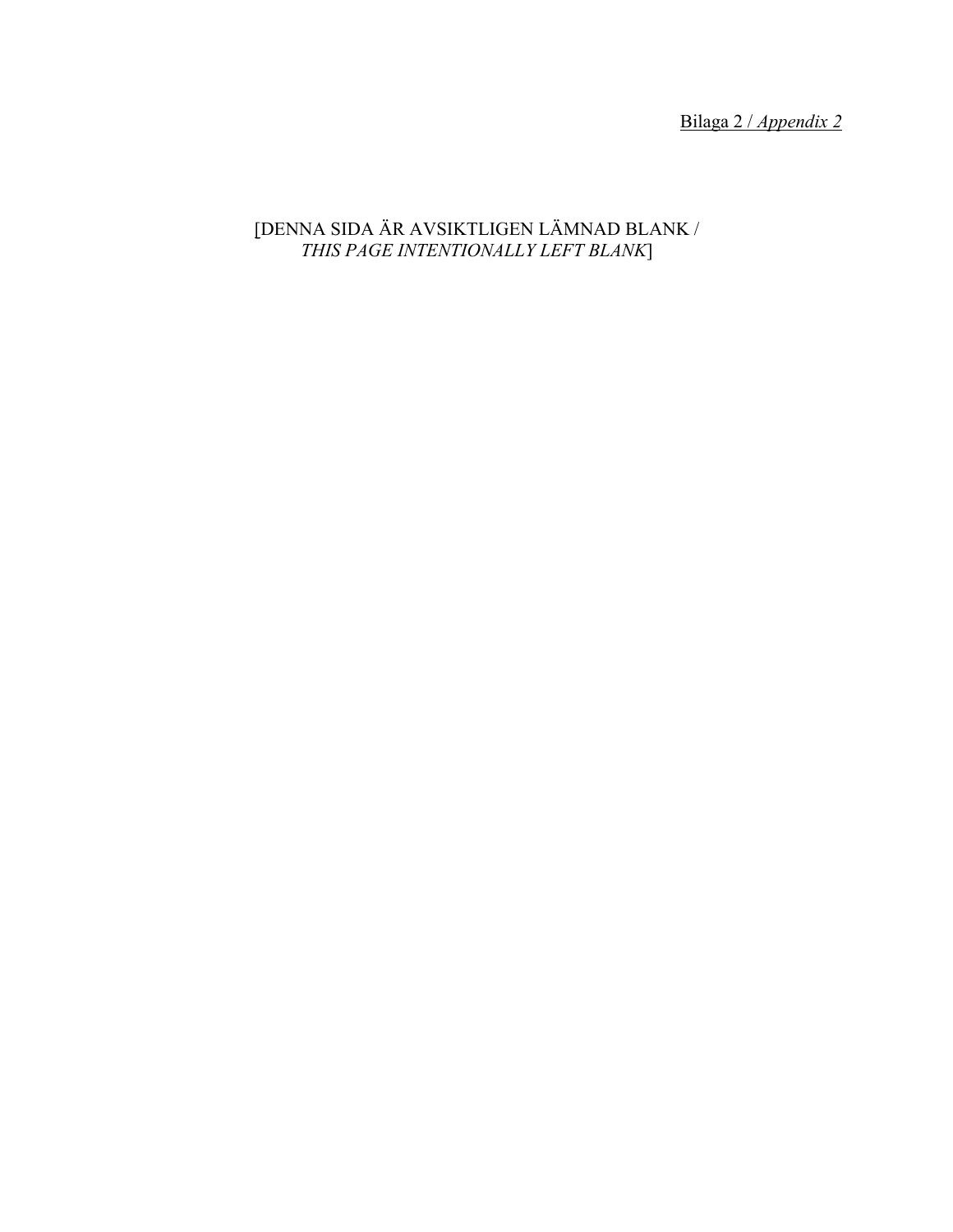Bilaga 2 / *Appendix 2*

# [DENNA SIDA ÄR AVSIKTLIGEN LÄMNAD BLANK / *THIS PAGE INTENTIONALLY LEFT BLANK*]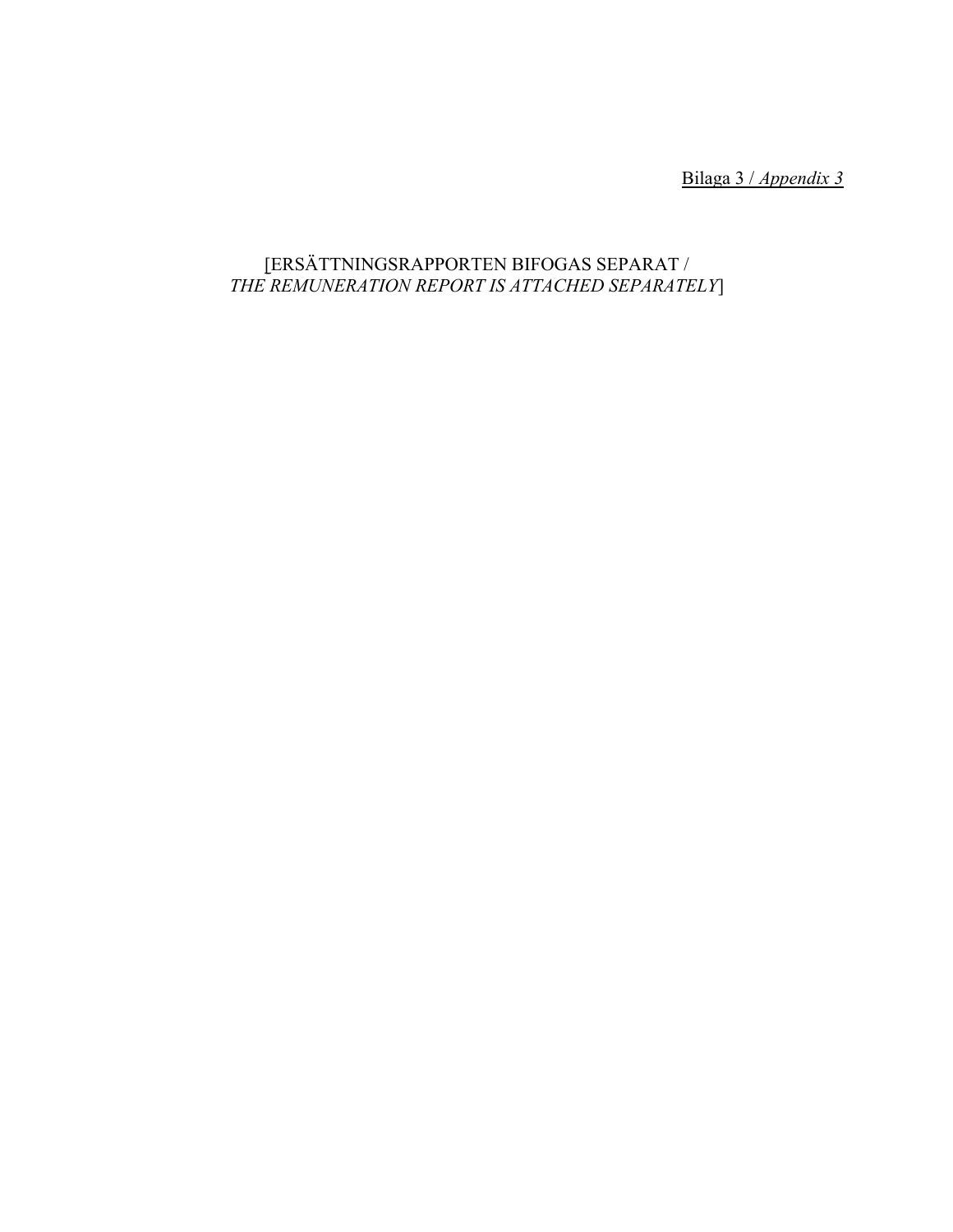Bilaga 3 / *Appendix 3*

# [ERSÄTTNINGSRAPPORTEN BIFOGAS SEPARAT / *THE REMUNERATION REPORT IS ATTACHED SEPARATELY*]